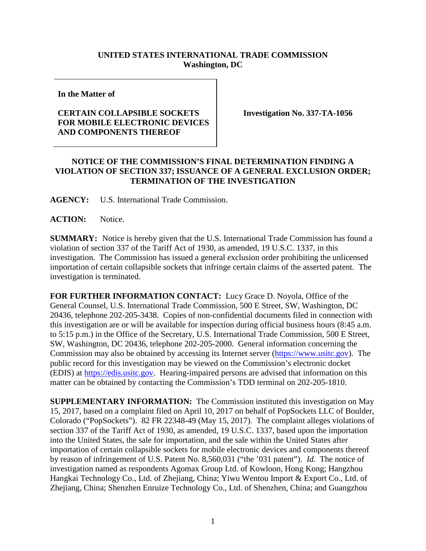## **UNITED STATES INTERNATIONAL TRADE COMMISSION Washington, DC**

**In the Matter of**

## **CERTAIN COLLAPSIBLE SOCKETS FOR MOBILE ELECTRONIC DEVICES AND COMPONENTS THEREOF**

**Investigation No. 337-TA-1056**

## **NOTICE OF THE COMMISSION'S FINAL DETERMINATION FINDING A VIOLATION OF SECTION 337; ISSUANCE OF A GENERAL EXCLUSION ORDER; TERMINATION OF THE INVESTIGATION**

**AGENCY:** U.S. International Trade Commission.

**ACTION:** Notice.

**SUMMARY:** Notice is hereby given that the U.S. International Trade Commission has found a violation of section 337 of the Tariff Act of 1930, as amended, 19 U.S.C. 1337, in this investigation. The Commission has issued a general exclusion order prohibiting the unlicensed importation of certain collapsible sockets that infringe certain claims of the asserted patent. The investigation is terminated.

**FOR FURTHER INFORMATION CONTACT:** Lucy Grace D. Noyola, Office of the General Counsel, U.S. International Trade Commission, 500 E Street, SW, Washington, DC 20436, telephone 202-205-3438. Copies of non-confidential documents filed in connection with this investigation are or will be available for inspection during official business hours (8:45 a.m. to 5:15 p.m.) in the Office of the Secretary, U.S. International Trade Commission, 500 E Street, SW, Washington, DC 20436, telephone 202-205-2000. General information concerning the Commission may also be obtained by accessing its Internet server [\(https://www.usitc.gov\)](https://www.usitc.gov/). The public record for this investigation may be viewed on the Commission's electronic docket (EDIS) at [https://edis.usitc.gov.](http://edis.usitc.gov/) Hearing-impaired persons are advised that information on this matter can be obtained by contacting the Commission's TDD terminal on 202-205-1810.

**SUPPLEMENTARY INFORMATION:** The Commission instituted this investigation on May 15, 2017, based on a complaint filed on April 10, 2017 on behalf of PopSockets LLC of Boulder, Colorado ("PopSockets"). 82 FR 22348-49 (May 15, 2017). The complaint alleges violations of section 337 of the Tariff Act of 1930, as amended, 19 U.S.C. 1337, based upon the importation into the United States, the sale for importation, and the sale within the United States after importation of certain collapsible sockets for mobile electronic devices and components thereof by reason of infringement of U.S. Patent No. 8,560,031 ("the '031 patent"). *Id.* The notice of investigation named as respondents Agomax Group Ltd. of Kowloon, Hong Kong; Hangzhou Hangkai Technology Co., Ltd. of Zhejiang, China; Yiwu Wentou Import & Export Co., Ltd. of Zhejiang, China; Shenzhen Enruize Technology Co., Ltd. of Shenzhen, China; and Guangzhou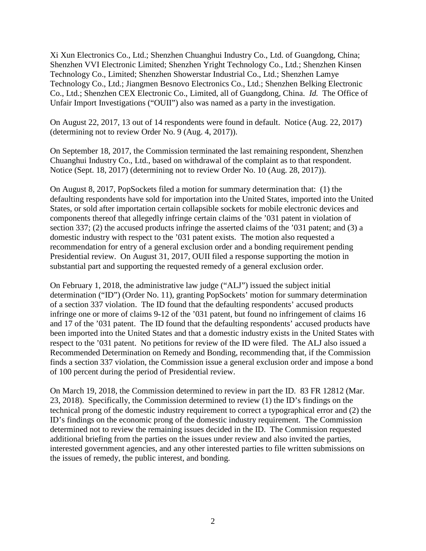Xi Xun Electronics Co., Ltd.; Shenzhen Chuanghui Industry Co., Ltd. of Guangdong, China; Shenzhen VVI Electronic Limited; Shenzhen Yright Technology Co., Ltd.; Shenzhen Kinsen Technology Co., Limited; Shenzhen Showerstar Industrial Co., Ltd.; Shenzhen Lamye Technology Co., Ltd.; Jiangmen Besnovo Electronics Co., Ltd.; Shenzhen Belking Electronic Co., Ltd.; Shenzhen CEX Electronic Co., Limited, all of Guangdong, China. *Id.* The Office of Unfair Import Investigations ("OUII") also was named as a party in the investigation.

On August 22, 2017, 13 out of 14 respondents were found in default. Notice (Aug. 22, 2017) (determining not to review Order No. 9 (Aug. 4, 2017)).

On September 18, 2017, the Commission terminated the last remaining respondent, Shenzhen Chuanghui Industry Co., Ltd., based on withdrawal of the complaint as to that respondent. Notice (Sept. 18, 2017) (determining not to review Order No. 10 (Aug. 28, 2017)).

On August 8, 2017, PopSockets filed a motion for summary determination that: (1) the defaulting respondents have sold for importation into the United States, imported into the United States, or sold after importation certain collapsible sockets for mobile electronic devices and components thereof that allegedly infringe certain claims of the '031 patent in violation of section 337; (2) the accused products infringe the asserted claims of the '031 patent; and (3) a domestic industry with respect to the '031 patent exists. The motion also requested a recommendation for entry of a general exclusion order and a bonding requirement pending Presidential review. On August 31, 2017, OUII filed a response supporting the motion in substantial part and supporting the requested remedy of a general exclusion order.

On February 1, 2018, the administrative law judge ("ALJ") issued the subject initial determination ("ID") (Order No. 11), granting PopSockets' motion for summary determination of a section 337 violation. The ID found that the defaulting respondents' accused products infringe one or more of claims 9-12 of the '031 patent, but found no infringement of claims 16 and 17 of the '031 patent. The ID found that the defaulting respondents' accused products have been imported into the United States and that a domestic industry exists in the United States with respect to the '031 patent. No petitions for review of the ID were filed. The ALJ also issued a Recommended Determination on Remedy and Bonding, recommending that, if the Commission finds a section 337 violation, the Commission issue a general exclusion order and impose a bond of 100 percent during the period of Presidential review.

On March 19, 2018, the Commission determined to review in part the ID. 83 FR 12812 (Mar. 23, 2018). Specifically, the Commission determined to review (1) the ID's findings on the technical prong of the domestic industry requirement to correct a typographical error and (2) the ID's findings on the economic prong of the domestic industry requirement. The Commission determined not to review the remaining issues decided in the ID. The Commission requested additional briefing from the parties on the issues under review and also invited the parties, interested government agencies, and any other interested parties to file written submissions on the issues of remedy, the public interest, and bonding.